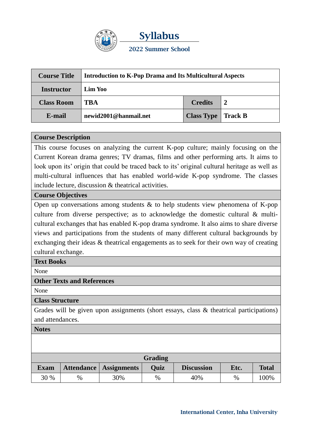

| <b>Course Title</b> | <b>Introduction to K-Pop Drama and Its Multicultural Aspects</b> |                   |                |  |
|---------------------|------------------------------------------------------------------|-------------------|----------------|--|
| <b>Instructor</b>   | Lim Yoo                                                          |                   |                |  |
| <b>Class Room</b>   | <b>TBA</b>                                                       | <b>Credits</b>    |                |  |
| E-mail              | newid2001@hanmail.net                                            | <b>Class Type</b> | <b>Track B</b> |  |

#### **Course Description**

This course focuses on analyzing the current K-pop culture; mainly focusing on the Current Korean drama genres; TV dramas, films and other performing arts. It aims to look upon its' origin that could be traced back to its' original cultural heritage as well as multi-cultural influences that has enabled world-wide K-pop syndrome. The classes include lecture, discussion & theatrical activities.

#### **Course Objectives**

Open up conversations among students  $\&$  to help students view phenomena of K-pop culture from diverse perspective; as to acknowledge the domestic cultural & multicultural exchanges that has enabled K-pop drama syndrome. It also aims to share diverse views and participations from the students of many different cultural backgrounds by exchanging their ideas & theatrical engagements as to seek for their own way of creating cultural exchange.

## **Text Books**

None

## **Other Texts and References**

None

## **Class Structure**

Grades will be given upon assignments (short essays, class & theatrical participations) and attendances.

**Notes**

| <b>Grading</b> |      |                        |      |                   |      |              |  |  |
|----------------|------|------------------------|------|-------------------|------|--------------|--|--|
| <b>Exam</b>    |      | Attendance Assignments | Ouiz | <b>Discussion</b> | Etc. | <b>Total</b> |  |  |
| 30 %           | $\%$ | 30%                    | $\%$ | 40%               | $\%$ | 100%         |  |  |